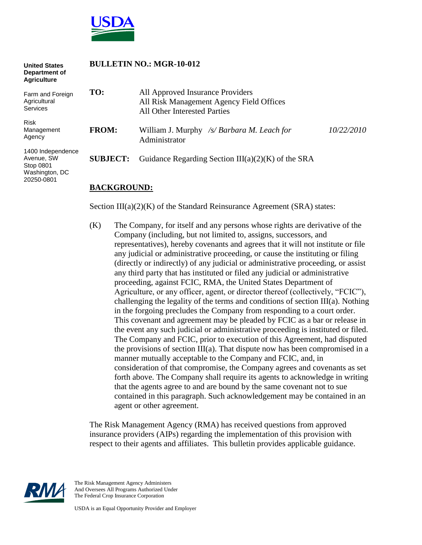

| <b>BULLETIN NO.: MGR-10-012</b><br><b>United States</b><br>Department of<br><b>Agriculture</b> |                 |                                                                                                              |            |
|------------------------------------------------------------------------------------------------|-----------------|--------------------------------------------------------------------------------------------------------------|------------|
| Farm and Foreign<br>Agricultural<br>Services                                                   | TO:             | All Approved Insurance Providers<br>All Risk Management Agency Field Offices<br>All Other Interested Parties |            |
| <b>Risk</b><br>Management<br>Agency                                                            | <b>FROM:</b>    | William J. Murphy /s/ Barbara M. Leach for<br>Administrator                                                  | 10/22/2010 |
| 1400 Independence<br>Avenue, SW<br>Stop 0801<br>Washington, DC<br>20250-0801                   | <b>SUBJECT:</b> | Guidance Regarding Section $III(a)(2)(K)$ of the SRA                                                         |            |

## **BACKGROUND:**

Section III(a)(2)(K) of the Standard Reinsurance Agreement (SRA) states:

(K) The Company, for itself and any persons whose rights are derivative of the Company (including, but not limited to, assigns, successors, and representatives), hereby covenants and agrees that it will not institute or file any judicial or administrative proceeding, or cause the instituting or filing (directly or indirectly) of any judicial or administrative proceeding, or assist any third party that has instituted or filed any judicial or administrative proceeding, against FCIC, RMA, the United States Department of Agriculture, or any officer, agent, or director thereof (collectively, "FCIC"), challenging the legality of the terms and conditions of section III(a). Nothing in the forgoing precludes the Company from responding to a court order. This covenant and agreement may be pleaded by FCIC as a bar or release in the event any such judicial or administrative proceeding is instituted or filed. The Company and FCIC, prior to execution of this Agreement, had disputed the provisions of section  $III(a)$ . That dispute now has been compromised in a manner mutually acceptable to the Company and FCIC, and, in consideration of that compromise, the Company agrees and covenants as set forth above. The Company shall require its agents to acknowledge in writing that the agents agree to and are bound by the same covenant not to sue contained in this paragraph. Such acknowledgement may be contained in an agent or other agreement.

The Risk Management Agency (RMA) has received questions from approved insurance providers (AIPs) regarding the implementation of this provision with respect to their agents and affiliates. This bulletin provides applicable guidance.



The Risk Management Agency Administers And Oversees All Programs Authorized Under The Federal Crop Insurance Corporation